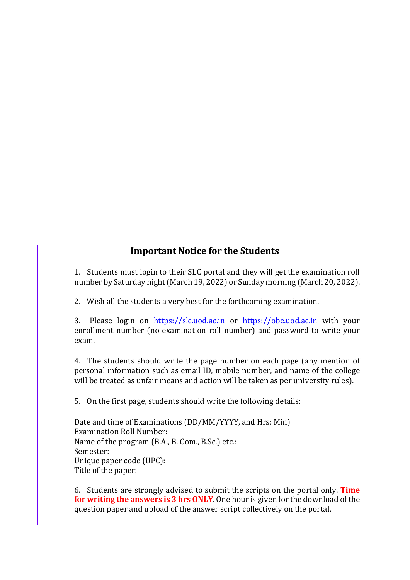## **Important Notice for the Students**

1. Students must login to their SLC portal and they will get the examination roll number by Saturday night (March 19, 2022) or Sunday morning (March 20, 2022).

2. Wish all the students a very best for the forthcoming examination.

3. Please login on https://slc.uod.ac.in or https://obe.uod.ac.in with your enrollment number (no examination roll number) and password to write your exam.

4. The students should write the page number on each page (any mention of personal information such as email ID, mobile number, and name of the college will be treated as unfair means and action will be taken as per university rules).

5. On the first page, students should write the following details:

Date and time of Examinations (DD/MM/YYYY, and Hrs: Min) Examination Roll Number: Name of the program (B.A., B. Com., B.Sc.) etc.: Semester: Unique paper code (UPC): Title of the paper:

6. Students are strongly advised to submit the scripts on the portal only. **Time for writing the answers is 3 hrs ONLY**. One hour is given for the download of the question paper and upload of the answer script collectively on the portal.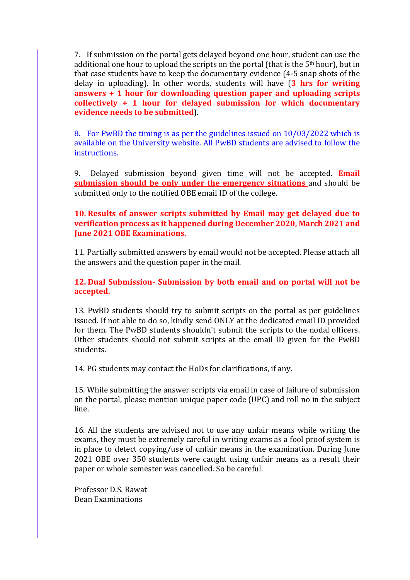7. If submission on the portal gets delayed beyond one hour, student can use the additional one hour to upload the scripts on the portal (that is the 5<sup>th</sup> hour), but in that case students have to keep the documentary evidence (45 snap shots of the delay in uploading). In other words, students will have (3 hrs for writing **answers** + 1 hour for downloading question paper and uploading scripts collectively + 1 hour for delayed submission for which documentary **evidence needs to be submitted**).

8. For PwBD the timing is as per the guidelines issued on 10/03/2022 which is available on the University website. All PwBD students are advised to follow the instructions.

9. Delayed submission beyond given time will not be accepted. **Email submission should be only under the emergency situations** and should be submitted only to the notified OBE email ID of the college.

## **10. Results of answer scripts submitted by Email may get delayed due to verification process as it happened during December 2020, March 2021 and June 2021 OBE Examinations.**

11. Partially submitted answers by email would not be accepted. Please attach all the answers and the question paper in the mail.

**12. Dual Submission- Submission by both email and on portal will not be accepted.**

13. PwBD students should try to submit scripts on the portal as per guidelines issued. If not able to do so, kindly send ONLY at the dedicated email ID provided for them. The PwBD students shouldn't submit the scripts to the nodal officers. Other students should not submit scripts at the email ID given for the PwBD students.

14. PG students may contact the HoDs for clarifications, if any.

15. While submitting the answer scripts via email in case of failure of submission on the portal, please mention unique paper code (UPC) and roll no in the subject line.

16. All the students are advised not to use any unfair means while writing the exams, they must be extremely careful in writing exams as a fool proof system is in place to detect copying/use of unfair means in the examination. During June 2021 OBE over 350 students were caught using unfair means as a result their paper or whole semester was cancelled. So be careful.

Professor D.S. Rawat Dean Examinations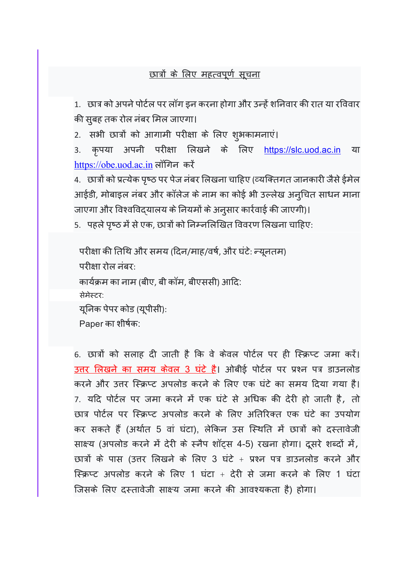## <u>छात्रों के लिए महत्वपूर्ण सूचना</u>

1. छात्र को अपने पोर्टल पर लॉग इन करना होगा और उन्हें शनिवार की रात या रविवार की सुबह तक रोल नंबर मिल जाएगा।

2. सभी छात्रों को आगामी परीक्षा के लिए शुभकामनाएं।

3. कृपया अपनी परीक्षा लिखने के लिए <u>https://slc.uod.ac.in</u> या https://obe.uod.ac.in लॉगिन करें

4. छात्रों को प्रत्येक पृष्ठ पर पेज नंबर लिखना चाहिए (व्यक्तिगत जानकारी जैसे ईमेल आईडी, मोबाइल नंबर और कॉलेज के नाम का कोई भी उल्लेख अनुचित साधन माना जाएगा और विश्वविद्यालय के नियमों के अनुसार कार्रवाई की जाएगी)।

5. पहले पृष्ठ में से एक, छात्रों को निम्नलिखित विवरण लिखना चाहिए:

परीक्षा की तिथि और समय (दिन/माह/वर्ष, और घंटे: न्यूनतम) परीक्षा रोल नंबर: कार्यक्रम का नाम (बीए, बी कॉम, बीएससी) आदि: सेमेस्टर: यूनिक पेपर कोड (यूपीसी): Paper का शीषक:

6. छात्रों को सलाह दी जाती है कि वे केवल पोर्टल पर ही स्क्रिप्ट जमा करें। उत्तर लिखने का समय केवल 3 घंटे है। ओबीई पोर्टल पर प्रश्न पत्र डाउनलोड करने और उत्तर स्क्रिप्ट अपलोड करने के लिए एक घंटे का समय दिया गया है। 7. यदि पोर्टल पर जमा करने में एक घंटे से अधिक की देरी हो जाती है, तो छात्र पोर्टल पर स्क्रिप्ट अपलोड करने के लिए अतिरिक्त एक घंटे का उपयोग कर सकते हैं (अर्थात 5 वां घंटा), लेकिन उस स्थिति में छात्रों को दस्तावेजी साक्ष्य (अपलोड करने में देरी के स्नैप शॉट्स 4-5) रखना होगा। दूसरे शब्दों में, छात्रों के पास (उत्तर लिखने के लिए 3 घंटे + प्रश्न पत्र डाउनलोड करने और स्क्रिप्ट अपलोड करने के लिए 1 घंटा + देरी से जमा करने के लिए 1 घंटा जिसके लिए दस्तावेजी साक्ष्य जमा करने की आवश्यकता है) होगा।